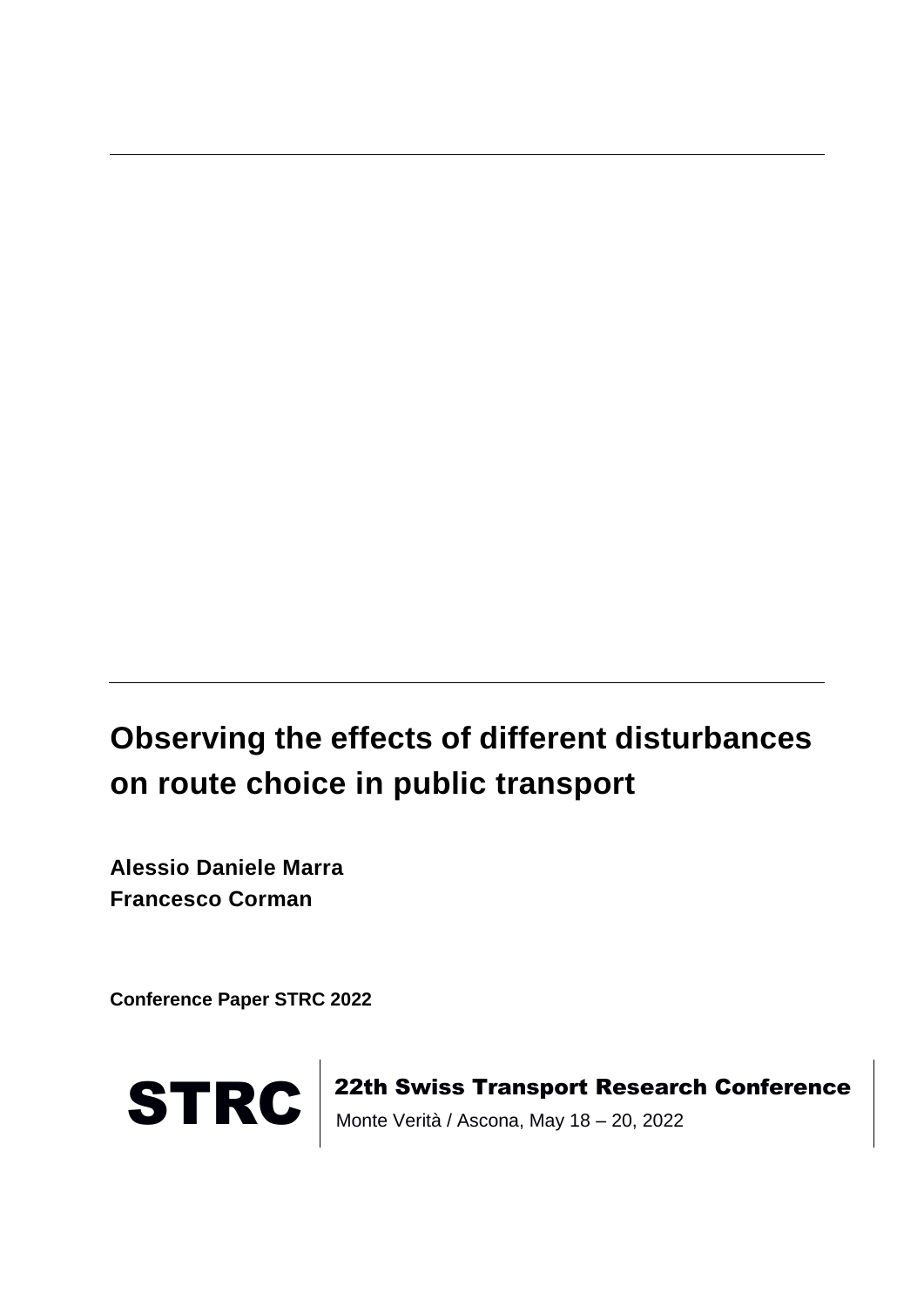## **Observing the effects of different disturbances on route choice in public transport**

**Alessio Daniele Marra Francesco Corman**

**Conference Paper STRC 2022**



STRC | 22th Swiss Transport Research Conference<br>Monte Verità / Ascona, May 18 – 20, 2022